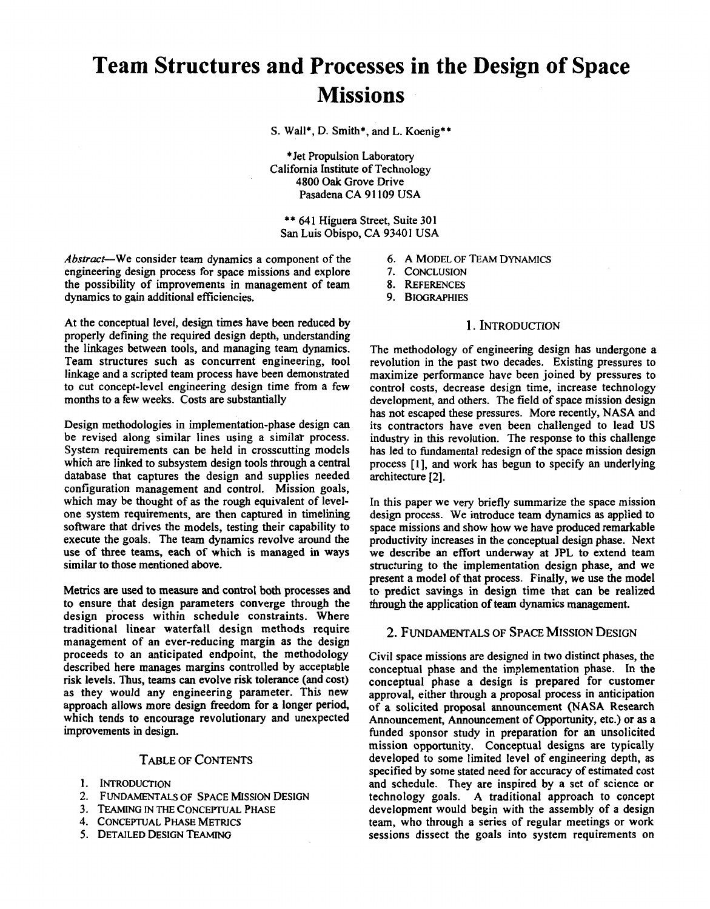# **Team Structures and Processes in the Design of Space Missions**

**S. Wall\*, D. Smith\*, and L. Koenig\*\*** 

**\*Jet Propulsion Laboratory California Institute of Technology 4800 Oak Grove Drive Pasadena CA 9 1 109 USA** 

\*\* **641 Higuera Street, Suite 301 San Luis Obispo, CA 93401 USA** 

**Abstract-We consider team dynamics a component of the engineering design process for space missions and explore the possibility of improvements in management of team dynamics to gain additional efficiencies.** 

**At the conceptual level, design times have been reduced by properly defining the required design depth, understanding the linkages between tools, and managing team dynamics. Team structures such as concurrent engineering, tool linkage and a scripted team process have been demonstrated to cut concept-level engineering design time from a few months to a few weeks. Costs are substantially** 

**Design methodologies in implementation-phase design can be revised along similar lines using a similar process. System requirements can be held** in **crosscutting models**  which are linked to subsystem design tools through a central **database that captures the design and supplies needed configuration management and control. Mission goals,**  which may be thought of as the rough equivalent of level**one system requirements, are then captured** in **timelining**  software that drives the models, testing their capability to **execute the goals. The team dynamics revolve around the use of three teams, each of which is managed in ways similar to those mentioned above.** 

**Metrics are used to measure and control** both **processes and to ensure that design parameters converge through the design process within schedule constraints. Where traditional linear waterfall design methods require management of an ever-reducing margin as the design proceeds to an anticipated endpoint, the methodology described here manages margins controlled by acceptable risk levels. Thus, teams can evolve risk tolerance (and cost) as they would any engineering parameter. This new approach allows more design freedom for a longer period, which tends to encourage revolutionary and unexpected improvements** in **design.** 

# TABLE **OF** CONTENTS

- **1. INTRODUCTION**
- **2. FUNDAMENTALS OF SPACE MlSSlON DESIGN**
- **3.** TEAMING IN **THE CONCEPTUAL PHASE**
- **4. CONCEPTUAL PHASE METRICS**
- **5. DETAILED DESIGN TEAMING**
- **6. A MODEL OF** TEAM **DYNAMICS**
- **7. CONCLUSION**
- **8. REFERENCES**
- **9. BIOGRAPHIES**

#### **1.** INTRODUCTION

**The methodology of engineering design has undergone a revolution in the past** two **decades. Existing pressures to maximize performance have been joined by pressures to control costs, decrease design time, increase technology development, and others. The field of space mission design has not escaped these pressures. More recently, NASA and its contractors have even been challenged to lead US industry in this revolution. The response to this challenge has led to fundamental redesign of the space mission design process [l], and work has begun to specify an underlying architecture [2].** 

**In this paper we very briefly summarize the space mission design process. We introduce team dynamics** as **applied to space missions and show how we have produced remarkable productivity increases in the conceptual design phase. Next we describe** an **effort underway at JPL to extend team structuring to the implementation design phase, and we present a model of that process. Finally, we use the model to predict savings in design time that can be realized through the application of team dynamics management.** 

#### **2. FUNDAMENTALS OF SPACE MISSION DESIGN**

**Civil space missions are designed in two distinct phases, the conceptual phase and the implementation phase. In the conceptual phase a design is prepared for customer approval, either through a proposal process in anticipation of a solicited proposal announcement (NASA Research Announcement, Announcement of Opportunity, etc.) or as a hnded sponsor study in preparation for an unsolicited mission opportunity. Conceptual designs are typically developed to some limited level of engineering depth,** as **specified by some stated need for accuracy of estimated cost and schedule. They are inspired by a set of science or technology goals. A traditional approach to concept development would begin with the assembly of a design team, who through a series of regular meetings or work sessions dissect the goals into system requirements on**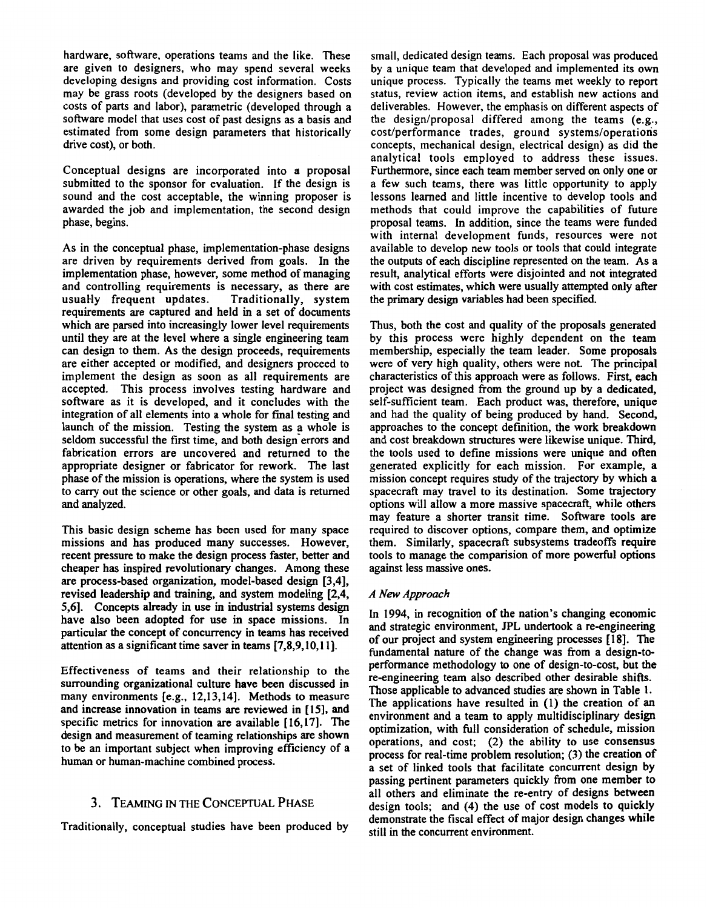hardware, software, operations teams and the like. These are given to designers, who may spend several weeks developing designs and providing cost information. Costs may be grass roots (developed by the designers based on costs of parts and labor), parametric (developed through a software model that uses cost of past designs as a basis and estimated from some design parameters that historically drive cost), or both.

Conceptual designs are incorporated into a proposal submitted to the sponsor for evaluation. If the design is sound and the cost acceptable, the winning proposer is awarded the job and implementation, the second design phase, begins.

**As** in the conceptual phase, implementation-phase designs are driven by requirements derived from goals. In the implementation phase, however, some method of managing and controlling requirements is necessary, as there are usually frequent updates. Traditionally, system usually frequent updates. requirements are captured and held in a set of documents which are parsed into increasingly lower level requirements until they are at the level where a single engineering team can design to them. **As** the design proceeds, requirements are either accepted or modified, and designers proceed to implement the design as soon as all requirements are accepted. This process involves testing hardware and software as it is developed, and it concludes with the integration of all elements into a whole for final testing and launch of the mission. Testing the system as a whole is seldom successful the first time, and both design'errors and fabrication errors are uncovered and returned to the appropriate designer or fabricator for rework. The last phase of the mission is operations, where the system is used to carry out the science or other goals, and **data** is returned and analyzed.

This basic design scheme has been used for many space missions and has produced many successes. However, recent **pressure** to make the design process faster, better and cheaper has inspired revolutionary changes. Among these are process-based organization, model-based design **[3,4],**  revised leadership and training, and system modeling **[2,4, 5,6].** Concepts already in use in industrial systems design have also been adopted for use in space missions. In particular the concept of concurrency in teams has received attention as a significant time saver in teams **[7,8,9,10,11].** 

Effectiveness of teams and their relationship to the surrounding organizational culture have been discussed in many environments [e.g., **12,13,14].** Methods to measure and increase innovation in teams are reviewed in **[15],** and specific metrics for innovation are available **[16,17].** The design and measurement of teaming relationships are shown to be an important subject when improving efficiency **of** a human or human-machine combined process.

# **3.** TEAMING IN THE CONCEPTUAL PHASE

Traditionally, conceptual studies have been produced by

small, dedicated design teams. Each proposal was produced by a unique team that developed and implemented its own unique process. Typically the teams met weekly to report status, review action items, and establish new actions and deliverables. However, the emphasis on different aspects of the design/proposal differed among the teams (e.g., cost/performance trades, ground systems/operations concepts, mechanical design, electrical design) as did the analytical tools employed to address these issues. Furthermore, since each team member served on only one or a few such teams, there was little opportunity to apply lessons learned and little incentive to develop tools and methods that could improve the capabilities of future proposal teams. In addition, since the teams were funded with internal development funds, resources were not available to develop new tools or tools that could integrate the outputs of each discipline represented on the team. As a result, analytical efforts were disjointed and not integrated with cost estimates, which were usually attempted only after the primary design variables had been specified.

Thus, both the cost and quality of the proposals generated by this process were highly dependent on the team membership, especially the team leader. Some proposals were of very high quality, others were not. The principal characteristics of this approach were as follows. First, each project was designed from the ground up by a dedicated, self-sufficient team. Each product was, therefore, unique and had the quality of being produced by hand. Second, approaches to the concept definition, the work breakdown and cost breakdown structures were likewise unique. Third, the tools used to define missions were unique and often generated explicitly for each mission. For example, a mission concept requires study of the trajectory by which **a**  spacecraft may travel to its destination. Some trajectory options will allow a more massive spacecraft, while others may feature a shorter transit time. Software tools are required to discover options, compare them, and optimize them. Similarly, spacecraft subsystems tradeoffs require tools to manage the comparision of more powerful options against less massive ones.

## *A New Approach*

In **1994,** in recognition of the nation's changing economic and strategic environment, **JPL** undertook a re-engineering of our project and system engineering processes **[IS].** The fundamental nature of the change was from a design-toperformance methodology to one of design-to-cost, but the re-engineering team also described other desirable shifts. Those applicable to advanced studies are shown in Table **1.**  The applications have resulted in **(1)** the creation of an environment and a team to apply multidisciplinary design optimization, with fidl consideration of schedule, mission operations, and cost; (2) the ability to use consensus process for real-time problem resolution; **(3)** the creation of a set of linked tools that facilitate concurrent design by passing pertinent parameters quickly from one member to all others and eliminate the re-entry of designs between design tools; and **(4)** the use of cost models **to** quickly demonstrate the fiscal effect of major design changes while still in the concurrent environment.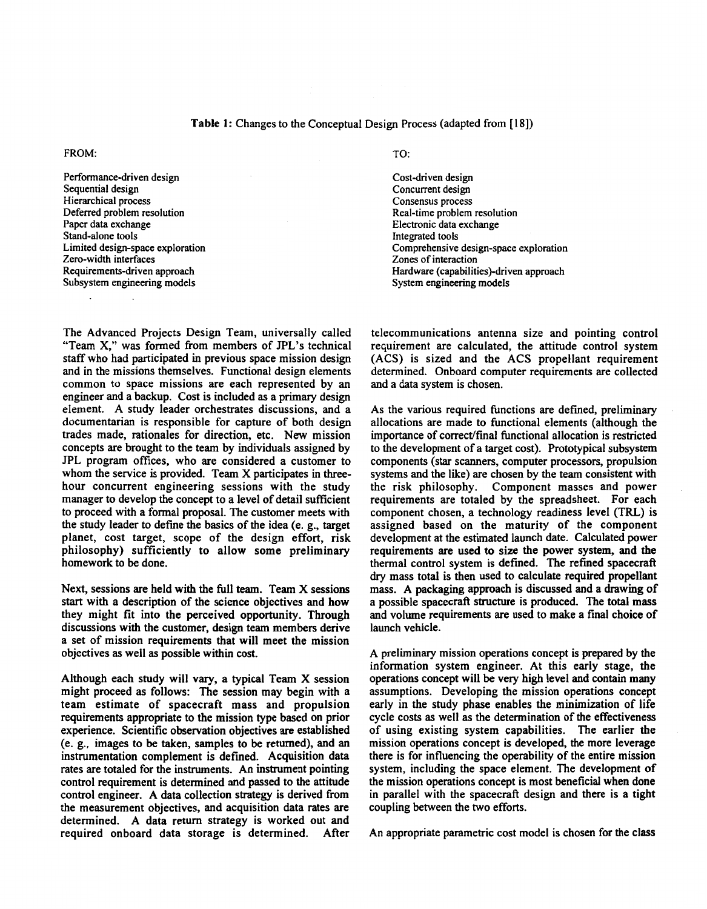#### **Table 1: Changes to the Conceptual Design Process (adapted from** [ **181)**

**FROM:** 

**Performance-driven design Sequential design Hierarchical process Deferred problem resolution Paper data exchange Stand-alone tools Limited design-space exploration Zero-width interfaces Requirements-driven approach Subsystem engineering models** 

**The Advanced Projects Design Team, universally called "Team X," was formed from members of JPL's technical staff who had participated in previous space mission design and in the missions themselves. Functional design elements common to space missions are each represented by an engineer and a backup. Cost is included** as **a primary design element. A study leader orchestrates discussions, and a documentarian is responsible for capture of both design trades made, rationales for direction, etc. New mission concepts are brought to the team by individuals assigned by JPL program offices, who are considered a customer to whom the service is provided. Team X participates in threehour concurrent engineering sessions with the study**  manager to develop the concept to a level of detail sufficient **to proceed with a formal proposal. The customer meets with the study leader to define the basics of the idea (e. g., target planet, cost target, scope of the design effort, risk philosophy) sufficiently to allow some preliminary homework to be done.** 

**Next, sessions are held with the full team. Team X sessions start with a description of the science objectives and how they might fit into the perceived opportunity. Through discussions with the customer, design team members derive a set of mission requirements that will meet the mission objectives as well** as **possible within cost.** 

**Although each study will vary, a typical Team X session might proceed as follows: The session may begin with a team estimate of spacecraft mass and propulsion requirements appropriate to the mission type based on prior experience. Scientific observation objectives** *are* **established (e. g., images to be taken, samples to be returned), and an instrumentation complement is defined. Acquisition data rates are totaled for the instruments. An instrument pointing control requirement is determined and passed to the attitude control engineer. A data collection strategy is derived from the measurement objectives, and acquisition data rates are determined. A data return strategy is worked out and required onboard ata storage is determined. After**  TO:

**Cost-driven design Concurrent design Consensus process Real-time problem resolution Electronic data exchange Integrated tools Comprehensive design-space exploration Zones of interaction**  Hardware (capabilities)-driven approach **System engineering models** 

**telecommunications antenna size and pointing control requirement are calculated, the attitude control system (ACS) is sized and the ACS propellant requirement determined. Onboard computer requirements are collected and a data system is chosen.** 

**As the various required functions are defined, preliminary allocations are made to functional elements (although the**  importance of correct/final functional allocation is restricted **to the development of a target cost). Prototypical subsystem components (star scanners, computer processors, propulsion systems and the like) are chosen by the team consistent with the risk philosophy. Component masses and power requirements are totaled by the spreadsheet. For each**  component chosen, a technology readiness level (TRL) is **assigned based on the maturity of the component development at the estimated launch date. Calculated power requirements are used to size the power system, and the thermal control system is defined. The refined spacecraft**  *dry* **mass total is then used to calculate required propellant mass. A packaging approach is discussed and a drawing of a possible spacecraft structure is produced. The total mass and volume requirements are used to make a final choice of launch vehicle.** 

**A preliminary mission operations concept is prepared by the information system engineer. At this early stage, the operations concept will be very high level and contain many assumptions. Developing the mission operations concept early in the study phase enables the minimization of life cycle costs as well as the determination of the effectiveness of using existing system capabilities. The earlier the mission operations concept is developed, the more leverage there is for influencing the operability of the entire mission system, including the space element. The development of the mission operations concept is most beneficial when done in parallel with the spacecraft design and there is a tight coupling between the two efforts.** 

**An appropriate parametric cost model is chosen for the class**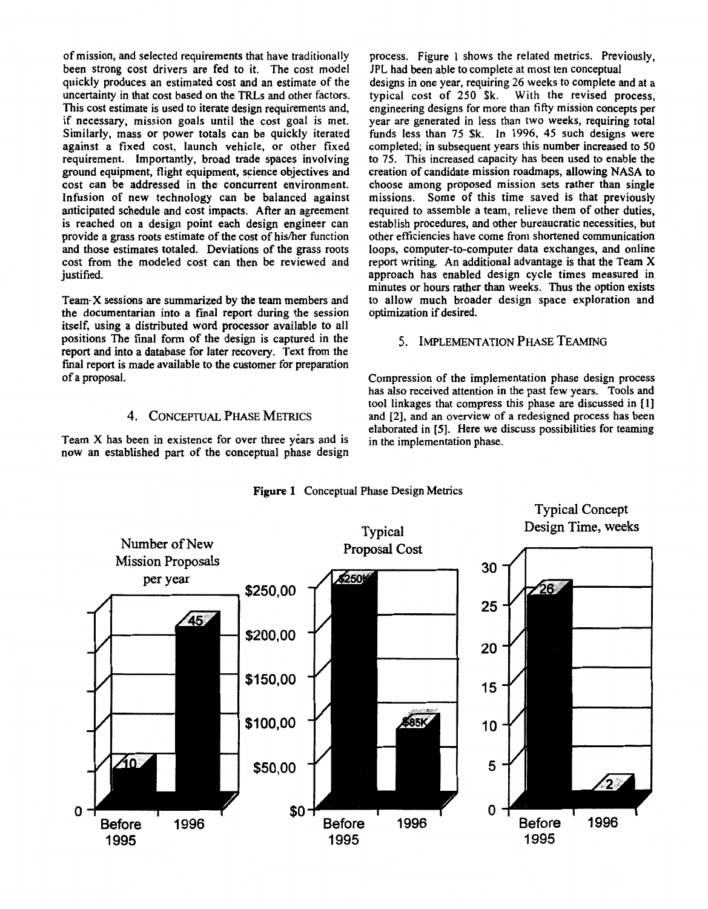**of mission, and selected requirements that have traditionally been strong cost drivers are fed to it. The cost model quickly produces an estimated cost and an estimate of the uncertainty in that cost based on the TRLs and other factors. This cost estimate is used to iterate design requirements and, if necessary, mission goals until the cost goal is met. Similarly, mass or power totals can be quickly iterated against a fixed cost, launch vehicle, or other fixed requirement. Importantly, broad trade spaces involving ground equipment, flight equipment, science objectives and cost can be addressed in the concurrent environment. Infusion of new technology can be balanced against anticipated schedule and cost impacts. After an agreement is reached on a design point each design engineer can provide a grass** roots **estimate of the cost of hisher function and those estimates totaled. Deviations of the grass roots cost from the modeled cost can then be reviewed and justified.** 

**Team-X sessions are summarized by the team members and the documentarian into a final report during the session itself, using a distributed word processor available to all positions The final form of the design is captured in the report and into a database for later recovery. Text from the final report is made available to the customer for preparation of a proposal.** 

# **4.** CONCEPTUAL **PHASE** METRICS

**Team X has been** in **existence for over three years and is now an established part of the conceptual phase design**  **process. Figure 1 shows the related metrics. Previously, JPL had been able to complete at most ten conceptual** 

**designs in one year, requiring 26 weeks to complete and at a typical cost of 250 \$k. With the revised process, engineering designs for more than fifty mission concepts per year are generated in less than two weeks, requiring total funds less than 75 \$k. In 1996, 45 such designs were completed; in subsequent years this number increased to 50 to 75. This increased capacity has been used to enable the creation of candidate mission roadmaps, allowing NASA to choose among proposed mission sets rather than single missions. Some of this time saved is that previously required to assemble a team, relieve them of other duties, establish procedures, and other bureaucratic necessities, but other efficiencies have come from shortened communication loops, computer-to-computer data exchanges, and online report writing. An additional advantage is that the Team X approach has enabled design cycle times measured in minutes or hours rather than weeks. Thus the option exists to allow much broader design space exploration and optimization if desired.** 

## **5.** IMPLEMENTATION PHASE TEAMING

**Compression of the implementation phase design process has also received attention in the past few years. Tools and tool linkages that compress this phase are discussed in [l] and [2], and an overview of a redesigned process has been elaborated in [5]. Here we discuss possibilities for teaming in the implementation phase.** 



**Figure 1 Conceptual Phase Design Metrics**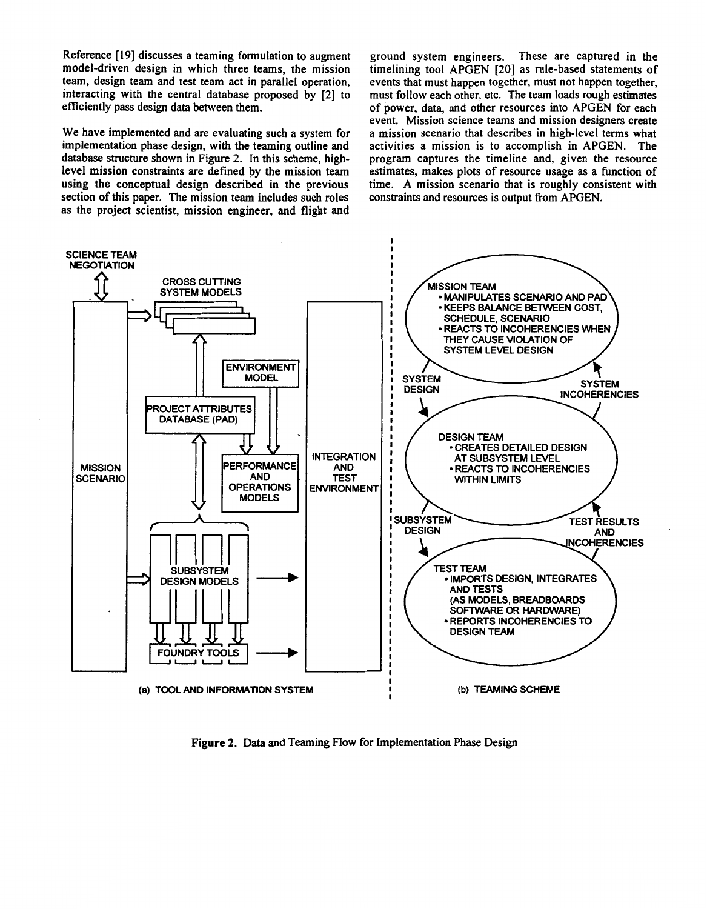Reference [ **191** discusses a teaming formulation to augment model-driven design in which three teams, the mission team, design team and test team act in parallel operation, interacting with the central database proposed by **[2]** to efficiently pass design data between them.

We have implemented and are evaluating such **a** system for implementation phase design, with the teaming outline and database structure shown in Figure **2.** In this scheme, highlevel mission constraints are defined by the mission team using the conceptual design described in the previous section of this paper. The mission team includes such roles as the project scientist, mission engineer, and flight and

ground system engineers. These are captured in the timelining tool APGEN **[20]** as rule-based statements of events that must happen together, must not happen together, must follow each other, etc. The team loads rough estimates of power, data, and other resources into APGEN for each event. Mission science teams and mission designers create a mission scenario that describes in high-level terms what activities **a** mission is to accomplish in APGEN. The program captures the timeline and, given the resource estimates, makes plots **of** resource usage as a function **of**  time. **A** mission scenario that is roughly consistent with constraints and resources is output fiom APGEN.



**Figure 2. Data** and Teaming Flow for Implementation Phase Design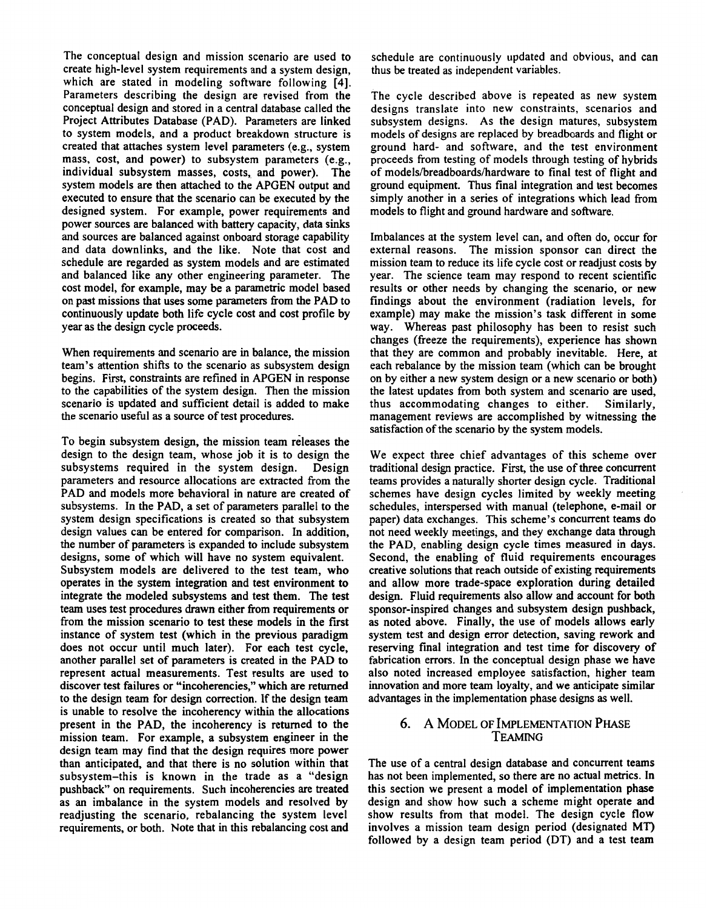The conceptual design and mission scenario are used to create high-level system requirements and a system design, which are stated in modeling software following **[4].**  Parameters describing the design are revised from the conceptual design and stored in a central database called the Project Attributes Database (PAD). Parameters are linked to system models, and a product breakdown structure is created that attaches system level parameters (e.g., system mass, cost, and power) to subsystem parameters (e.g., individual subsystem masses, costs, and power). The system models are then attached to the APGEN output and executed to ensure that the scenario can be executed by the designed system. For example, power requirements and power sources are balanced with battery capacity, data **sinks**  and sources are balanced against onboard storage capability and data downlinks, and the like. Note that cost and schedule are regarded as system models and are estimated and balanced like any other engineering parameter. The cost model, for example, may be a parametric model based on past missions that uses some parameters from the PAD to continuously update both life cycle cost and cost profile by year as the design cycle proceeds.

When requirements and scenario are in balance, the mission team's attention shifts to the scenario as subsystem design begins. First, constraints are refined in APGEN in response to the capabilities of the system design. Then the mission scenario is updated and sufficient detail is added to make the scenario useful as a source of test procedures.

To begin subsystem design, the mission team releases the design to the design team, whose job it is to design the subsystems required in the system design. Design parameters and resource allocations are extracted from the PAD and models more behavioral in nature are created of subsystems. In the PAD, a set of parameters parallel to the system design specifications is created *so* that subsystem design values can be entered for comparison. In addition, the number of parameters is expanded to include subsystem designs, some of which will have no system equivalent. Subsystem models are delivered to the test team, who operates in the system integration and test environment to integrate the modeled subsystems and test them. The test team uses test procedures drawn either from requirements **or**  from the mission scenario to test these models in the first instance of system test (which in the previous paradigm does not occur until much later). For each test cycle, another parallel set of parameters is created in the PAD to represent actual measurements. Test results are used to discover test failures or "incoherencies," which are returned to the design team for design correction. If the design team is unable to resolve the incoherency within the allocations present in the PAD, the incoherency is returned to the mission team. For example, a subsystem engineer in the design team may find that the design requires more power than anticipated, and that there is no solution within that subsystem-this is known in the trade as a "design pushback" on requirements. Such incoherencies are treated as an imbalance in the system models and resolved by readjusting the scenario, rebalancing the system level requirements, or both. Note that in this rebalancing cost and

schedule are continuously updated and obvious, and can thus be treated as independent variables.

The cycle described above is repeated as new system designs translate into new constraints, scenarios and subsystem designs. As the design matures, subsystem models of designs are replaced by breadboards and flight or ground hard- and software, and the test environment proceeds from testing of models through testing of hybrids of models/breadboards/hardware to final test of flight and ground equipment. Thus final integration and test becomes simply another in a series of integrations which lead from models to flight and ground hardware and software.

Imbalances at the system level can, and often do, occur for external reasons. The mission sponsor can direct the mission team to reduce its life cycle cost or readjust costs by year. The science team may respond to recent scientific results or other needs by changing the scenario, or new findings about he environment (radiation levels, for example) may make the mission's task different in some way. Whereas past philosophy has been to resist such changes (freeze the requirements), experience has shown that they are common and probably inevitable. Here, at each rebalance by the mission team (which can be brought on by either a new system design or a new scenario or both) the latest updates from both system and scenario are used, thus accommodating changes to either. Similarly, thus accommodating changes to either. management reviews are accomplished by witnessing the satisfaction of the scenario by the system models.

We expect three chief advantages of this scheme over traditional design practice. First, the use of three concurrent teams provides a naturally shorter design cycle. Traditional schemes have design cycles limited by weekly meeting schedules, interspersed with manual (telephone, e-mail **or**  paper) data exchanges. This scheme's concurrent teams do not need weekly meetings, and they exchange data through the PAD, enabling design cycle times measured in days. Second, the enabling of fluid requirements encourages creative solutions that reach outside of existing requirements and allow more trade-space exploration during detailed design. Fluid requirements also allow and account **for** both sponsor-inspired changes and subsystem design pushback, as noted above. Finally, the use of models allows early system test and design error detection, saving rework and reserving final integration and test time for discovery of fabrication errors. In the conceptual design phase we have also noted increased employee satisfaction, higher team innovation and more team loyalty, and we anticipate similar advantages in the implementation phase designs as well.

## *6.* **A** MODEL OF IMPLEMENTATION PHASE TEAMING

The use of a central design database and concurrent teams has not been implemented, *so* there are no actual metrics. In this section we present a model of implementation phase design and show how such a scheme might operate and show results from that model. The design cycle flow involves a mission team design period (designated **MT)**  followed by a design team period (DT) and a test team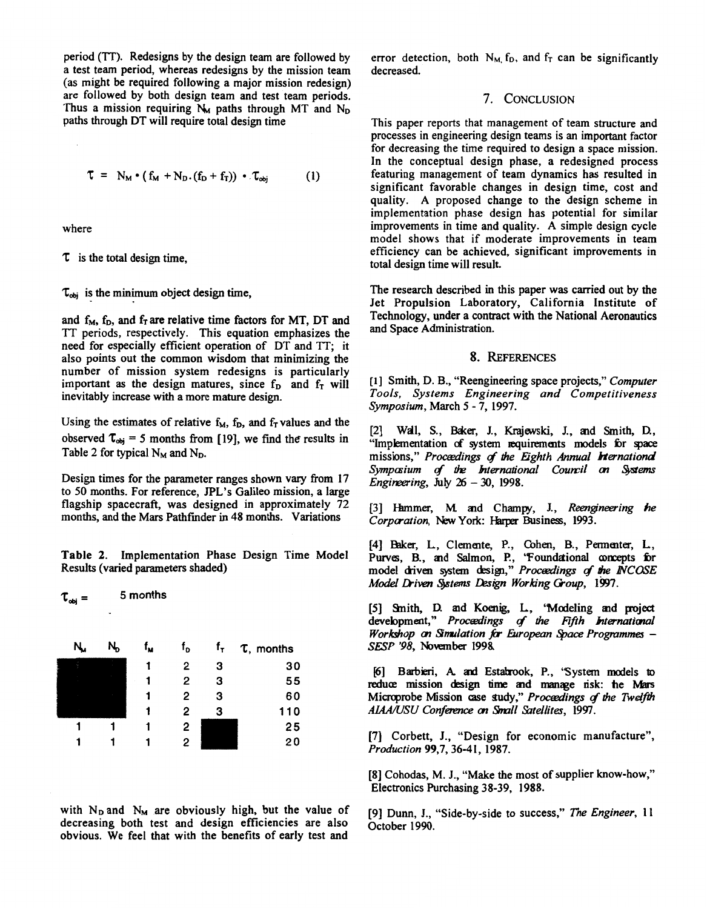period (TT). Redesigns by the design team are followed by a test team period, whereas redesigns by the mission team (as might be required following a major mission redesign) are followed by both design team and test team periods. Thus a mission requiring  $N_M$  paths through MT and  $N_D$ paths through DT will require total design time

$$
\tau = N_{M} \cdot (f_{M} + N_{D} \cdot (f_{D} + f_{T})) \cdot \tau_{obj} \qquad (1)
$$

where

*2* is the total design time,

 $\tau_{\text{obj}} = 5$  months

 $\tau_{obj}$  is the minimum object design time,

and  $f_M$ ,  $f_D$ , and  $f_T$  are relative time factors for MT, DT and TT periods, respectively. This equation emphasizes the need for especially efficient operation of DT and TT; it also points out the common wisdom that minimizing the number of mission system redesigns is particularly important as the design matures, since  $f<sub>D</sub>$  and  $f<sub>T</sub>$  will inevitably increase with a more mature design.

Using the estimates of relative  $f_M$ ,  $f_D$ , and  $f_T$  values and the observed  $\tau_{obj} = 5$  months from [19], we find the results in Table 2 for typical  $N_M$  and  $N_D$ .

Design times for the parameter ranges shown vary from 17 to *50* months. For reference, JPL's Galileo mission, a large flagship spacecraft, was designed in approximately 72 months, and the Mars Pathfinder in 48 months. Variations

**Table 2.** Implementation Phase Design Time Model Results (varied parameters shaded)



with  $N_D$  and  $N_M$  are obviously high, but the value of decreasing both test and design efficiencies are also obvious. We feel that with the benefits of early test and

error detection, both  $N_M$  f<sub>p</sub>, and f<sub>r</sub> can be significantly decreased.

#### **7.** CONCLUSION

This paper reports that management of team structure and processes in engineering design teams is an important factor for decreasing the time required to design a space mission. In the conceptual design phase, a redesigned process featuring management of team dynamics has resulted in significant favorable changes in design time, cost and quality. A proposed change to the design scheme in implementation phase design has potential for similar improvements in time and quality. A simple design cycle model shows that if moderate improvements in team efficiency can be achieved, significant improvements in total design time will result.

The research described in this paper was carried out by the Jet Propulsion Laboratory, California Institute of Technology, under a contract with the National Aeronautics and Space Administration.

#### **8.** REFERENCES

**[l]** Smith, D. **B.,** "Reengineering space projects," *Computer Tools, Systems Engineering and Competitiveness Symposium,* March **5** - 7, 1997.

[2] Wall, **S.,** *Mer,* **J., Krajewski,** J., and Smith, D., "Implementation *of* system lequiremmts models fir **space**  missions," Proceedings of the Eighth Annual **International** Symposium of the International Council on Systems *Engineering, July 26 - 30, 1998.* 

[3] Hammer, M. and Champy, J., *Reengineering he Corporation, New York: Harper Business, 1993.* 

[4] Baker, **L,** Clemmte, P., Cbhen, **B.,** Pennmter, **L,**  Purves, B., and Salmon, P., **'Foundational concepts for** model driven system design," *Proceedings of the INCOSE*<br>Model Driven Systems Design Working Group, 1997.

**[5]** Snith, **D.** and **Koenig, L,** '"odeling and **pject**  development," Proceedings of the Fifth International *Workshop on Simulation for European Space Programmes –*<br>*SESP '98*, November 1998.

b] Barbieri, **A** and Estabrook, P., 'System models to reduae mission design **time** and manage **risk:** he **Mars**  Microprobe Mission case *sudy," Proceedings of the Twelfth ALevuSU Confmce cn Issmll Satellites,* 1997.

[7] Corbett, **J.,** "Design for economic manufacture", *Production* 99,7,36-4 1, 1987.

[8] Cohodas, M. **J.,** "Make the most of supplier know-how," Electronics Purchasing 38-39, 1988.

[9] Dunn, **J.,** "Side-by-side to success," *The Engineer,* 11 October 1990.